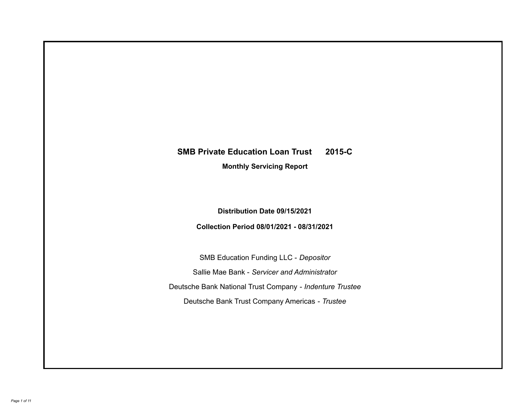# **SMB Private Education Loan Trust 2015-C**

**Monthly Servicing Report**

**Distribution Date 09/15/2021**

**Collection Period 08/01/2021 - 08/31/2021**

SMB Education Funding LLC - *Depositor* Sallie Mae Bank - *Servicer and Administrator* Deutsche Bank National Trust Company - *Indenture Trustee* Deutsche Bank Trust Company Americas - *Trustee*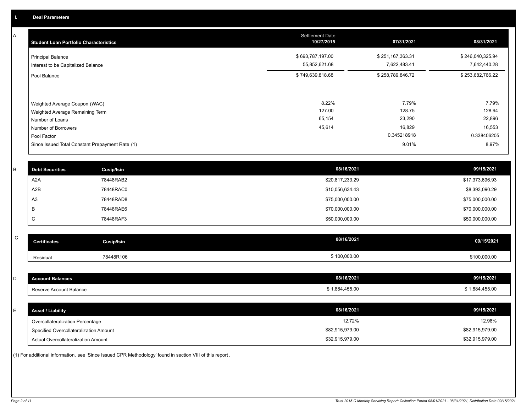A

| <b>Student Loan Portfolio Characteristics</b>                                                              | <b>Settlement Date</b><br>10/27/2015 | 07/31/2021                          | 08/31/2021                          |
|------------------------------------------------------------------------------------------------------------|--------------------------------------|-------------------------------------|-------------------------------------|
| <b>Principal Balance</b><br>Interest to be Capitalized Balance                                             | \$693,787,197.00<br>55,852,621.68    | \$251,167,363.31<br>7,622,483.41    | \$246,040,325.94<br>7,642,440.28    |
| Pool Balance                                                                                               | \$749,639,818.68                     | \$258,789,846.72                    | \$253,682,766.22                    |
| Weighted Average Coupon (WAC)<br>Weighted Average Remaining Term<br>Number of Loans<br>Number of Borrowers | 8.22%<br>127.00<br>65,154<br>45,614  | 7.79%<br>128.75<br>23,290<br>16,829 | 7.79%<br>128.94<br>22,896<br>16,553 |
| Pool Factor                                                                                                |                                      | 0.345218918                         | 0.338406205                         |
| Since Issued Total Constant Prepayment Rate (1)                                                            |                                      | 9.01%                               | 8.97%                               |

| <b>Debt Securities</b> | <b>Cusip/Isin</b> | 08/16/2021      | 09/15/2021      |
|------------------------|-------------------|-----------------|-----------------|
| A2A                    | 78448RAB2         | \$20,817,233.29 | \$17,373,696.93 |
| A2B                    | 78448RAC0         | \$10,056,634.43 | \$8,393,090.29  |
| A <sub>3</sub>         | 78448RAD8         | \$75,000,000.00 | \$75,000,000.00 |
|                        | 78448RAE6         | \$70,000,000.00 | \$70,000,000.00 |
| ◡                      | 78448RAF3         | \$50,000,000.00 | \$50,000,000.00 |
|                        |                   |                 |                 |

| $\sim$<br>ັ | Certificates | Cusip/Isin | 08/16/2021   | 09/15/2021   |
|-------------|--------------|------------|--------------|--------------|
|             | Residual     | 78448R106  | \$100,000.00 | \$100,000.00 |

| <b>Account Balances</b>                | 08/16/2021      | 09/15/2021      |
|----------------------------------------|-----------------|-----------------|
| Reserve Account Balance                | \$1,884,455.00  | \$1,884,455.00  |
|                                        |                 |                 |
| <b>Asset / Liability</b>               | 08/16/2021      | 09/15/2021      |
| Overcollateralization Percentage       | 12.72%          | 12.98%          |
| Specified Overcollateralization Amount | \$82,915,979.00 | \$82,915,979.00 |
| Actual Overcollateralization Amount    | \$32,915,979.00 | \$32,915,979.00 |

(1) For additional information, see 'Since Issued CPR Methodology' found in section VIII of this report .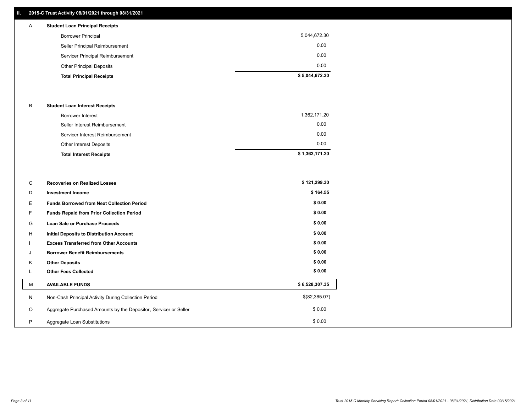## **II. 2015-C Trust Activity 08/01/2021 through 08/31/2021**

# A **Student Loan Principal Receipts**

| <b>Borrower Principal</b>        | 5,044,672.30   |
|----------------------------------|----------------|
| Seller Principal Reimbursement   | 0.00           |
| Servicer Principal Reimbursement | 0.00           |
| <b>Other Principal Deposits</b>  | 0.00           |
| <b>Total Principal Receipts</b>  | \$5,044,672.30 |

### B **Student Loan Interest Receipts**

| <b>Borrower Interest</b>        | 1,362,171.20   |
|---------------------------------|----------------|
| Seller Interest Reimbursement   | 0.00           |
| Servicer Interest Reimbursement | 0.00           |
| Other Interest Deposits         | 0.00           |
| <b>Total Interest Receipts</b>  | \$1,362,171.20 |

| С       | <b>Recoveries on Realized Losses</b>                             | \$121,299.30   |
|---------|------------------------------------------------------------------|----------------|
| D       | <b>Investment Income</b>                                         | \$164.55       |
| Е.      | <b>Funds Borrowed from Next Collection Period</b>                | \$0.00         |
| F.      | Funds Repaid from Prior Collection Period                        | \$0.00         |
| G       | Loan Sale or Purchase Proceeds                                   | \$0.00         |
| H       | <b>Initial Deposits to Distribution Account</b>                  | \$0.00         |
|         | <b>Excess Transferred from Other Accounts</b>                    | \$0.00         |
| J       | <b>Borrower Benefit Reimbursements</b>                           | \$0.00         |
| K       | <b>Other Deposits</b>                                            | \$0.00         |
|         | <b>Other Fees Collected</b>                                      | \$0.00         |
| м       | <b>AVAILABLE FUNDS</b>                                           | \$6,528,307.35 |
| N       | Non-Cash Principal Activity During Collection Period             | \$(82,365.07)  |
| $\circ$ | Aggregate Purchased Amounts by the Depositor, Servicer or Seller | \$0.00         |
| P       | Aggregate Loan Substitutions                                     | \$0.00         |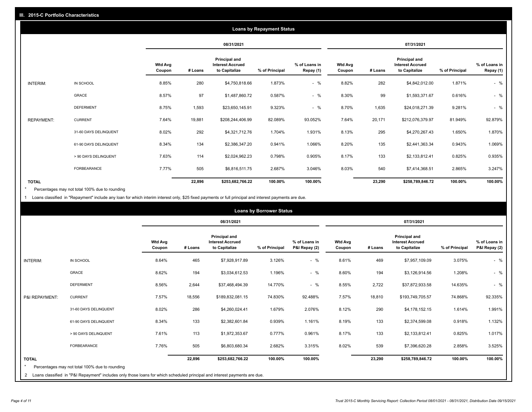|                   | <b>Loans by Repayment Status</b> |                          |         |                                                           |                |                            |                          |         |                                                           |                |                            |
|-------------------|----------------------------------|--------------------------|---------|-----------------------------------------------------------|----------------|----------------------------|--------------------------|---------|-----------------------------------------------------------|----------------|----------------------------|
|                   |                                  |                          |         | 08/31/2021                                                |                |                            |                          |         | 07/31/2021                                                |                |                            |
|                   |                                  | <b>Wtd Avg</b><br>Coupon | # Loans | Principal and<br><b>Interest Accrued</b><br>to Capitalize | % of Principal | % of Loans in<br>Repay (1) | <b>Wtd Avg</b><br>Coupon | # Loans | Principal and<br><b>Interest Accrued</b><br>to Capitalize | % of Principal | % of Loans in<br>Repay (1) |
| INTERIM:          | IN SCHOOL                        | 8.85%                    | 280     | \$4,750,818.66                                            | 1.873%         | $-$ %                      | 8.82%                    | 282     | \$4,842,012.00                                            | 1.871%         | $-$ %                      |
|                   | <b>GRACE</b>                     | 8.57%                    | 97      | \$1,487,860.72                                            | 0.587%         | $-$ %                      | 8.30%                    | 99      | \$1,593,371.67                                            | 0.616%         | $-$ %                      |
|                   | <b>DEFERMENT</b>                 | 8.75%                    | 1,593   | \$23,650,145.91                                           | 9.323%         | $-$ %                      | 8.70%                    | 1,635   | \$24,018,271.39                                           | 9.281%         | $-$ %                      |
| <b>REPAYMENT:</b> | <b>CURRENT</b>                   | 7.64%                    | 19,881  | \$208,244,406.99                                          | 82.089%        | 93.052%                    | 7.64%                    | 20,171  | \$212,076,379.97                                          | 81.949%        | 92.879%                    |
|                   | 31-60 DAYS DELINQUENT            | 8.02%                    | 292     | \$4,321,712.76                                            | 1.704%         | 1.931%                     | 8.13%                    | 295     | \$4,270,267.43                                            | 1.650%         | 1.870%                     |
|                   | 61-90 DAYS DELINQUENT            | 8.34%                    | 134     | \$2,386,347.20                                            | 0.941%         | 1.066%                     | 8.20%                    | 135     | \$2,441,363.34                                            | 0.943%         | 1.069%                     |
|                   | > 90 DAYS DELINQUENT             | 7.63%                    | 114     | \$2,024,962.23                                            | 0.798%         | 0.905%                     | 8.17%                    | 133     | \$2,133,812.41                                            | 0.825%         | 0.935%                     |
|                   | <b>FORBEARANCE</b>               | 7.77%                    | 505     | \$6,816,511.75                                            | 2.687%         | 3.046%                     | 8.03%                    | 540     | \$7,414,368.51                                            | 2.865%         | 3.247%                     |
| <b>TOTAL</b>      |                                  |                          | 22,896  | \$253,682,766.22                                          | 100.00%        | 100.00%                    |                          | 23,290  | \$258,789,846.72                                          | 100.00%        | 100.00%                    |

Percentages may not total 100% due to rounding \*

1 Loans classified in "Repayment" include any loan for which interim interest only, \$25 fixed payments or full principal and interest payments are due.

| <b>Loans by Borrower Status</b> |                                                                                                                              |                          |         |                                                                  |                |                                |                          |         |                                                                  |                |                                |  |
|---------------------------------|------------------------------------------------------------------------------------------------------------------------------|--------------------------|---------|------------------------------------------------------------------|----------------|--------------------------------|--------------------------|---------|------------------------------------------------------------------|----------------|--------------------------------|--|
|                                 |                                                                                                                              |                          |         | 08/31/2021                                                       |                |                                | 07/31/2021               |         |                                                                  |                |                                |  |
|                                 |                                                                                                                              | <b>Wtd Avg</b><br>Coupon | # Loans | <b>Principal and</b><br><b>Interest Accrued</b><br>to Capitalize | % of Principal | % of Loans in<br>P&I Repay (2) | <b>Wtd Avg</b><br>Coupon | # Loans | <b>Principal and</b><br><b>Interest Accrued</b><br>to Capitalize | % of Principal | % of Loans in<br>P&I Repay (2) |  |
| INTERIM:                        | IN SCHOOL                                                                                                                    | 8.64%                    | 465     | \$7,928,917.89                                                   | 3.126%         | $-$ %                          | 8.61%                    | 469     | \$7,957,109.09                                                   | 3.075%         | $-$ %                          |  |
|                                 | <b>GRACE</b>                                                                                                                 | 8.62%                    | 194     | \$3,034,612.53                                                   | 1.196%         | $-$ %                          | 8.60%                    | 194     | \$3,126,914.56                                                   | 1.208%         | $-$ %                          |  |
|                                 | <b>DEFERMENT</b>                                                                                                             | 8.56%                    | 2,644   | \$37,468,494.39                                                  | 14.770%        | $-$ %                          | 8.55%                    | 2,722   | \$37,872,933.58                                                  | 14.635%        | $-$ %                          |  |
| P&I REPAYMENT:                  | <b>CURRENT</b>                                                                                                               | 7.57%                    | 18,556  | \$189,832,081.15                                                 | 74.830%        | 92.488%                        | 7.57%                    | 18,810  | \$193,749,705.57                                                 | 74.868%        | 92.335%                        |  |
|                                 | 31-60 DAYS DELINQUENT                                                                                                        | 8.02%                    | 286     | \$4,260,024.41                                                   | 1.679%         | 2.076%                         | 8.12%                    | 290     | \$4,178,152.15                                                   | 1.614%         | 1.991%                         |  |
|                                 | 61-90 DAYS DELINQUENT                                                                                                        | 8.34%                    | 133     | \$2,382,601.84                                                   | 0.939%         | 1.161%                         | 8.19%                    | 133     | \$2,374,599.08                                                   | 0.918%         | 1.132%                         |  |
|                                 | > 90 DAYS DELINQUENT                                                                                                         | 7.61%                    | 113     | \$1,972,353.67                                                   | 0.777%         | 0.961%                         | 8.17%                    | 133     | \$2,133,812.41                                                   | 0.825%         | 1.017%                         |  |
|                                 | FORBEARANCE                                                                                                                  | 7.76%                    | 505     | \$6,803,680.34                                                   | 2.682%         | 3.315%                         | 8.02%                    | 539     | \$7,396,620.28                                                   | 2.858%         | 3.525%                         |  |
| <b>TOTAL</b><br>$\star$         | Percentages may not total 100% due to rounding                                                                               |                          | 22,896  | \$253,682,766.22                                                 | 100.00%        | 100.00%                        |                          | 23,290  | \$258,789,846.72                                                 | 100.00%        | 100.00%                        |  |
|                                 | 2 Loans classified in "P&I Repayment" includes only those loans for which scheduled principal and interest payments are due. |                          |         |                                                                  |                |                                |                          |         |                                                                  |                |                                |  |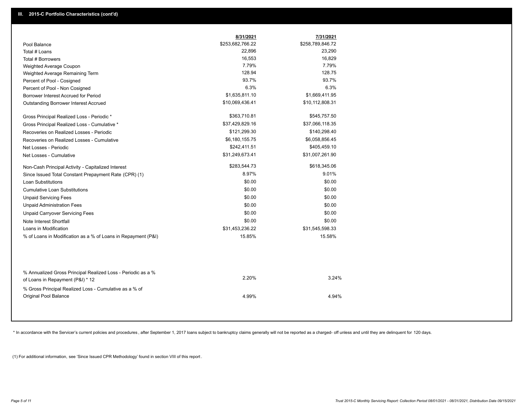|                                                                                        | 8/31/2021        | 7/31/2021        |  |
|----------------------------------------------------------------------------------------|------------------|------------------|--|
| Pool Balance                                                                           | \$253,682,766.22 | \$258,789,846.72 |  |
| Total # Loans                                                                          | 22,896           | 23,290           |  |
| Total # Borrowers                                                                      | 16,553           | 16,829           |  |
| Weighted Average Coupon                                                                | 7.79%            | 7.79%            |  |
| Weighted Average Remaining Term                                                        | 128.94           | 128.75           |  |
| Percent of Pool - Cosigned                                                             | 93.7%            | 93.7%            |  |
| Percent of Pool - Non Cosigned                                                         | 6.3%             | 6.3%             |  |
| Borrower Interest Accrued for Period                                                   | \$1,635,811.10   | \$1,669,411.95   |  |
| Outstanding Borrower Interest Accrued                                                  | \$10,069,436.41  | \$10,112,808.31  |  |
| Gross Principal Realized Loss - Periodic *                                             | \$363,710.81     | \$545,757.50     |  |
| Gross Principal Realized Loss - Cumulative *                                           | \$37,429,829.16  | \$37,066,118.35  |  |
| Recoveries on Realized Losses - Periodic                                               | \$121,299.30     | \$140,298.40     |  |
| Recoveries on Realized Losses - Cumulative                                             | \$6,180,155.75   | \$6,058,856.45   |  |
| Net Losses - Periodic                                                                  | \$242,411.51     | \$405,459.10     |  |
| Net Losses - Cumulative                                                                | \$31,249,673.41  | \$31,007,261.90  |  |
| Non-Cash Principal Activity - Capitalized Interest                                     | \$283,544.73     | \$618,345.06     |  |
| Since Issued Total Constant Prepayment Rate (CPR) (1)                                  | 8.97%            | 9.01%            |  |
| <b>Loan Substitutions</b>                                                              | \$0.00           | \$0.00           |  |
| Cumulative Loan Substitutions                                                          | \$0.00           | \$0.00           |  |
| <b>Unpaid Servicing Fees</b>                                                           | \$0.00           | \$0.00           |  |
| <b>Unpaid Administration Fees</b>                                                      | \$0.00           | \$0.00           |  |
| <b>Unpaid Carryover Servicing Fees</b>                                                 | \$0.00           | \$0.00           |  |
| Note Interest Shortfall                                                                | \$0.00           | \$0.00           |  |
| Loans in Modification                                                                  | \$31,453,236.22  | \$31,545,598.33  |  |
| % of Loans in Modification as a % of Loans in Repayment (P&I)                          | 15.85%           | 15.58%           |  |
| % Annualized Gross Principal Realized Loss - Periodic as a %                           |                  |                  |  |
| of Loans in Repayment (P&I) * 12                                                       | 2.20%            | 3.24%            |  |
| % Gross Principal Realized Loss - Cumulative as a % of<br><b>Original Pool Balance</b> | 4.99%            | 4.94%            |  |

\* In accordance with the Servicer's current policies and procedures, after September 1, 2017 loans subject to bankruptcy claims generally will not be reported as a charged- off unless and until they are delinquent for 120

(1) For additional information, see 'Since Issued CPR Methodology' found in section VIII of this report .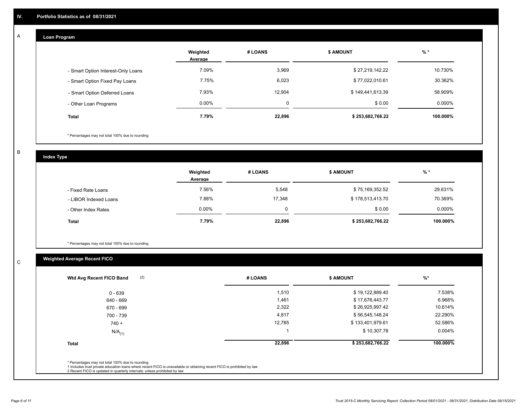## **Loan Program**

A

|                                    | Weighted<br>Average | # LOANS | <b>\$ AMOUNT</b> | $%$ *     |
|------------------------------------|---------------------|---------|------------------|-----------|
| - Smart Option Interest-Only Loans | 7.09%               | 3,969   | \$27,219,142.22  | 10.730%   |
| - Smart Option Fixed Pay Loans     | 7.75%               | 6,023   | \$77,022,010.61  | 30.362%   |
| - Smart Option Deferred Loans      | 7.93%               | 12,904  | \$149,441,613.39 | 58.909%   |
| - Other Loan Programs              | $0.00\%$            | 0       | \$0.00           | $0.000\%$ |
| <b>Total</b>                       | 7.79%               | 22,896  | \$253,682,766.22 | 100.000%  |

\* Percentages may not total 100% due to rounding

B

C

**Index Type**

|                       | Weighted<br>Average | <b>\$ AMOUNT</b><br># LOANS |                  | % *       |
|-----------------------|---------------------|-----------------------------|------------------|-----------|
| - Fixed Rate Loans    | 7.56%               | 5,548                       | \$75,169,352.52  | 29.631%   |
| - LIBOR Indexed Loans | 7.88%               | 17.348                      | \$178,513,413.70 | 70.369%   |
| - Other Index Rates   | $0.00\%$            | 0                           | \$0.00           | $0.000\%$ |
| <b>Total</b>          | 7.79%               | 22,896                      | \$253,682,766.22 | 100.000%  |

\* Percentages may not total 100% due to rounding

## **Weighted Average Recent FICO**

| 1,510<br>1,461<br>2,322<br>4,817 | \$19,122,889.40<br>\$17,676,443.77<br>\$26,925,997.42 | 7.538%<br>6.968%<br>10.614% |
|----------------------------------|-------------------------------------------------------|-----------------------------|
|                                  |                                                       |                             |
|                                  |                                                       |                             |
|                                  |                                                       |                             |
|                                  | \$56,545,148.24                                       | 22.290%                     |
| 12,785                           | \$133,401,979.61                                      | 52.586%                     |
|                                  | \$10,307.78                                           | $0.004\%$                   |
| 22,896                           | \$253,682,766.22                                      | 100.000%                    |
|                                  |                                                       |                             |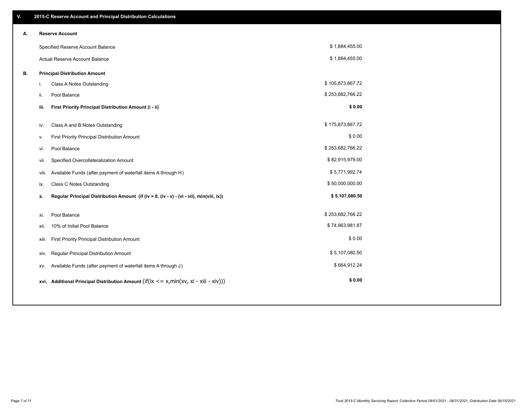| V. |       | 2015-C Reserve Account and Principal Distribution Calculations                              |                  |  |
|----|-------|---------------------------------------------------------------------------------------------|------------------|--|
| А. |       | <b>Reserve Account</b>                                                                      |                  |  |
|    |       | Specified Reserve Account Balance                                                           | \$1,884,455.00   |  |
|    |       | Actual Reserve Account Balance                                                              | \$1,884,455.00   |  |
| В. |       | <b>Principal Distribution Amount</b>                                                        |                  |  |
|    | i.    | Class A Notes Outstanding                                                                   | \$105,873,867.72 |  |
|    | ii.   | Pool Balance                                                                                | \$253,682,766.22 |  |
|    | iii.  | First Priority Principal Distribution Amount (i - ii)                                       | \$0.00           |  |
|    |       |                                                                                             |                  |  |
|    | iv.   | Class A and B Notes Outstanding                                                             | \$175,873,867.72 |  |
|    | v.    | First Priority Principal Distribution Amount                                                | \$0.00           |  |
|    | vi.   | Pool Balance                                                                                | \$253,682,766.22 |  |
|    | vii.  | Specified Overcollateralization Amount                                                      | \$82,915,979.00  |  |
|    | viii. | Available Funds (after payment of waterfall items A through H)                              | \$5,771,992.74   |  |
|    | ix.   | <b>Class C Notes Outstanding</b>                                                            | \$50,000,000.00  |  |
|    | х.    | Regular Principal Distribution Amount (if (iv > 0, (iv - v) - (vi - vii), min(viii, ix))    | \$5,107,080.50   |  |
|    |       |                                                                                             |                  |  |
|    | xi.   | Pool Balance                                                                                | \$253,682,766.22 |  |
|    | xii.  | 10% of Initial Pool Balance                                                                 | \$74,963,981.87  |  |
|    | xiii. | First Priority Principal Distribution Amount                                                | \$0.00           |  |
|    | XIV.  | Regular Principal Distribution Amount                                                       | \$5,107,080.50   |  |
|    | XV.   | Available Funds (after payment of waterfall items A through J)                              | \$664,912.24     |  |
|    |       | xvi. Additional Principal Distribution Amount (if(ix $\leq$ = x, min(xv, xi - xiii - xiv))) | \$0.00           |  |
|    |       |                                                                                             |                  |  |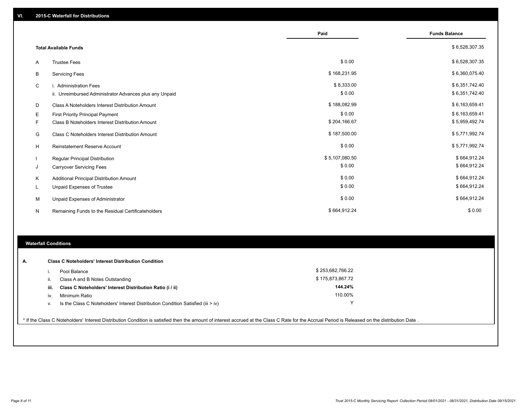|   |                                                         | Paid           | <b>Funds Balance</b> |
|---|---------------------------------------------------------|----------------|----------------------|
|   | <b>Total Available Funds</b>                            |                | \$6,528,307.35       |
| A | <b>Trustee Fees</b>                                     | \$0.00         | \$6,528,307.35       |
| В | <b>Servicing Fees</b>                                   | \$168,231.95   | \$6,360,075.40       |
| C | i. Administration Fees                                  | \$8,333.00     | \$6,351,742.40       |
|   | ii. Unreimbursed Administrator Advances plus any Unpaid | \$0.00         | \$6,351,742.40       |
| D | Class A Noteholders Interest Distribution Amount        | \$188,082.99   | \$6,163,659.41       |
| Е | First Priority Principal Payment                        | \$0.00         | \$6,163,659.41       |
| F | Class B Noteholders Interest Distribution Amount        | \$204,166.67   | \$5,959,492.74       |
| G | <b>Class C Noteholders Interest Distribution Amount</b> | \$187,500.00   | \$5,771,992.74       |
| н | <b>Reinstatement Reserve Account</b>                    | \$0.00         | \$5,771,992.74       |
|   | Regular Principal Distribution                          | \$5,107,080.50 | \$664,912.24         |
| J | <b>Carryover Servicing Fees</b>                         | \$0.00         | \$664,912.24         |
| Κ | Additional Principal Distribution Amount                | \$0.00         | \$664,912.24         |
| L | Unpaid Expenses of Trustee                              | \$0.00         | \$664,912.24         |
| M | Unpaid Expenses of Administrator                        | \$0.00         | \$664,912.24         |
| N | Remaining Funds to the Residual Certificateholders      | \$664,912.24   | \$0.00               |

### **Waterfall Conditions**

| А. |      | <b>Class C Noteholders' Interest Distribution Condition</b>                        |                  |  |
|----|------|------------------------------------------------------------------------------------|------------------|--|
|    |      | Pool Balance                                                                       | \$253.682.766.22 |  |
|    | Ш.   | Class A and B Notes Outstanding                                                    | \$175,873,867.72 |  |
|    | iii. | Class C Noteholders' Interest Distribution Ratio (i / ii)                          | 144.24%          |  |
|    | iv.  | Minimum Ratio                                                                      | 110.00%          |  |
|    | ν.   | Is the Class C Noteholders' Interest Distribution Condition Satisfied (iii $>$ iv) |                  |  |
|    |      |                                                                                    |                  |  |

\* If the Class C Noteholders' Interest Distribution Condition is satisfied then the amount of interest accrued at the Class C Rate for the Accrual Period is Released on the distribution Date .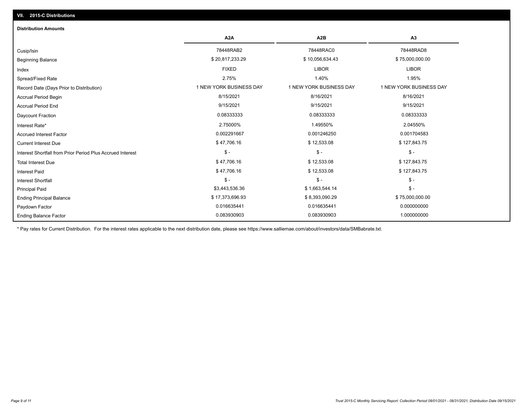| <b>Distribution Amounts</b>                                |                         |                         |                         |
|------------------------------------------------------------|-------------------------|-------------------------|-------------------------|
|                                                            | A <sub>2</sub> A        | A <sub>2</sub> B        | A3                      |
| Cusip/Isin                                                 | 78448RAB2               | 78448RAC0               | 78448RAD8               |
| <b>Beginning Balance</b>                                   | \$20,817,233.29         | \$10,056,634.43         | \$75,000,000.00         |
| Index                                                      | <b>FIXED</b>            | <b>LIBOR</b>            | <b>LIBOR</b>            |
| Spread/Fixed Rate                                          | 2.75%                   | 1.40%                   | 1.95%                   |
| Record Date (Days Prior to Distribution)                   | 1 NEW YORK BUSINESS DAY | 1 NEW YORK BUSINESS DAY | 1 NEW YORK BUSINESS DAY |
| <b>Accrual Period Begin</b>                                | 8/15/2021               | 8/16/2021               | 8/16/2021               |
| <b>Accrual Period End</b>                                  | 9/15/2021               | 9/15/2021               | 9/15/2021               |
| <b>Daycount Fraction</b>                                   | 0.08333333              | 0.08333333              | 0.08333333              |
| Interest Rate*                                             | 2.75000%                | 1.49550%                | 2.04550%                |
| <b>Accrued Interest Factor</b>                             | 0.002291667             | 0.001246250             | 0.001704583             |
| <b>Current Interest Due</b>                                | \$47,706.16             | \$12,533.08             | \$127,843.75            |
| Interest Shortfall from Prior Period Plus Accrued Interest | $\mathsf{\$}$ -         | $$ -$                   | $\mathsf{\$}$ -         |
| <b>Total Interest Due</b>                                  | \$47,706.16             | \$12,533.08             | \$127,843.75            |
| <b>Interest Paid</b>                                       | \$47,706.16             | \$12,533.08             | \$127,843.75            |
| <b>Interest Shortfall</b>                                  | $\mathsf{\$}$ -         | $$ -$                   | $$ -$                   |
| <b>Principal Paid</b>                                      | \$3,443,536.36          | \$1,663,544.14          | $$ -$                   |
| <b>Ending Principal Balance</b>                            | \$17,373,696.93         | \$8,393,090.29          | \$75,000,000.00         |
| Paydown Factor                                             | 0.016635441             | 0.016635441             | 0.000000000             |
| <b>Ending Balance Factor</b>                               | 0.083930903             | 0.083930903             | 1.000000000             |

\* Pay rates for Current Distribution. For the interest rates applicable to the next distribution date, please see https://www.salliemae.com/about/investors/data/SMBabrate.txt.

**VII. 2015-C Distributions**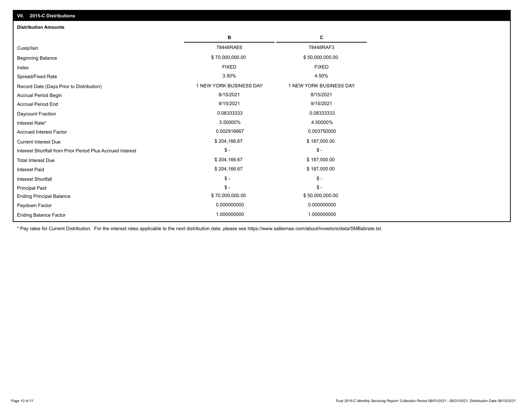| VII. 2015-C Distributions                                  |                         |                         |
|------------------------------------------------------------|-------------------------|-------------------------|
| <b>Distribution Amounts</b>                                |                         |                         |
|                                                            | в                       | C                       |
| Cusip/Isin                                                 | 78448RAE6               | 78448RAF3               |
| <b>Beginning Balance</b>                                   | \$70,000,000.00         | \$50,000,000.00         |
| Index                                                      | <b>FIXED</b>            | <b>FIXED</b>            |
| Spread/Fixed Rate                                          | 3.50%                   | 4.50%                   |
| Record Date (Days Prior to Distribution)                   | 1 NEW YORK BUSINESS DAY | 1 NEW YORK BUSINESS DAY |
| Accrual Period Begin                                       | 8/15/2021               | 8/15/2021               |
| <b>Accrual Period End</b>                                  | 9/15/2021               | 9/15/2021               |
| Daycount Fraction                                          | 0.08333333              | 0.08333333              |
| Interest Rate*                                             | 3.50000%                | 4.50000%                |
| <b>Accrued Interest Factor</b>                             | 0.002916667             | 0.003750000             |
| <b>Current Interest Due</b>                                | \$204,166.67            | \$187,500.00            |
| Interest Shortfall from Prior Period Plus Accrued Interest | $\mathcal{S}$ -         | $\frac{1}{2}$           |
| <b>Total Interest Due</b>                                  | \$204,166.67            | \$187,500.00            |
| Interest Paid                                              | \$204,166.67            | \$187,500.00            |
| Interest Shortfall                                         | $\mathcal{S}$ -         | $\frac{1}{2}$           |
| <b>Principal Paid</b>                                      | $$ -$                   | $$ -$                   |
| <b>Ending Principal Balance</b>                            | \$70,000,000.00         | \$50,000,000.00         |
| Paydown Factor                                             | 0.000000000             | 0.000000000             |
| <b>Ending Balance Factor</b>                               | 1.000000000             | 1.000000000             |

\* Pay rates for Current Distribution. For the interest rates applicable to the next distribution date, please see https://www.salliemae.com/about/investors/data/SMBabrate.txt.